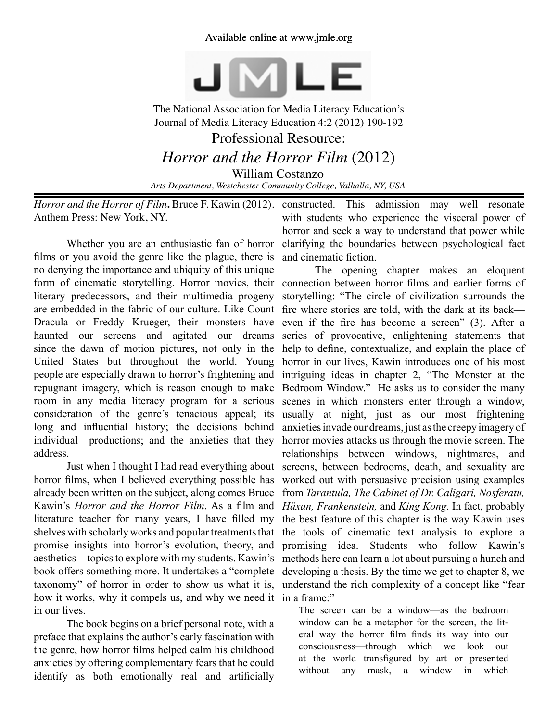## Available online at www.jmle.org



The National Association for Media Literacy Education's Journal of Media Literacy Education 4:2 (2012) 190-192 Professional Resource: *Horror and the Horror Film* (2012) William Costanzo *Arts Department, Westchester Community College, Valhalla, NY, USA*

*Horror and the Horror of Film***.** Bruce F. Kawin (2012). constructed. This admission may well resonate Anthem Press: New York, NY.

Whether you are an enthusiastic fan of horror films or you avoid the genre like the plague, there is no denying the importance and ubiquity of this unique literary predecessors, and their multimedia progeny are embedded in the fabric of our culture. Like Count fire where stories are told, with the dark at its back haunted our screens and agitated our dreams since the dawn of motion pictures, not only in the United States but throughout the world. Young people are especially drawn to horror's frightening and room in any media literacy program for a serious consideration of the genre's tenacious appeal; its long and influential history; the decisions behind individual productions; and the anxieties that they address.

horror films, when I believed everything possible has already been written on the subject, along comes Bruce literature teacher for many years, I have filled my shelves with scholarly works and popular treatments that promise insights into horror's evolution, theory, and aesthetics—topics to explore with my students. Kawin's how it works, why it compels us, and why we need it in a frame:" in our lives.

The book begins on a brief personal note, with a preface that explains the author's early fascination with the genre, how horror films helped calm his childhood anxieties by offering complementary fears that he could identify as both emotionally real and artificially

with students who experience the visceral power of horror and seek a way to understand that power while clarifying the boundaries between psychological fact and cinematic fiction.

form of cinematic storytelling. Horror movies, their connection between horror films and earlier forms of Dracula or Freddy Krueger, their monsters have even if the fire has become a screen" (3). After a repugnant imagery, which is reason enough to make Bedroom Window." He asks us to consider the many Just when I thought I had read everything about screens, between bedrooms, death, and sexuality are Kawin's *Horror and the Horror Film*. As a film and *Häxan, Frankenstein,* and *King Kong*. In fact, probably book offers something more. It undertakes a "complete developing a thesis. By the time we get to chapter 8, we taxonomy" of horror in order to show us what it is, understand the rich complexity of a concept like "fear The opening chapter makes an eloquent storytelling: "The circle of civilization surrounds the series of provocative, enlightening statements that help to define, contextualize, and explain the place of horror in our lives, Kawin introduces one of his most intriguing ideas in chapter 2, "The Monster at the scenes in which monsters enter through a window, usually at night, just as our most frightening anxieties invade our dreams, just as the creepy imagery of horror movies attacks us through the movie screen. The relationships between windows, nightmares, and worked out with persuasive precision using examples from *Tarantula, The Cabinet of Dr. Caligari, Nosferatu,*  the best feature of this chapter is the way Kawin uses the tools of cinematic text analysis to explore a promising idea. Students who follow Kawin's methods here can learn a lot about pursuing a hunch and

> The screen can be a window—as the bedroom window can be a metaphor for the screen, the literal way the horror film finds its way into our consciousness—through which we look out at the world transfigured by art or presented without any mask, a window in which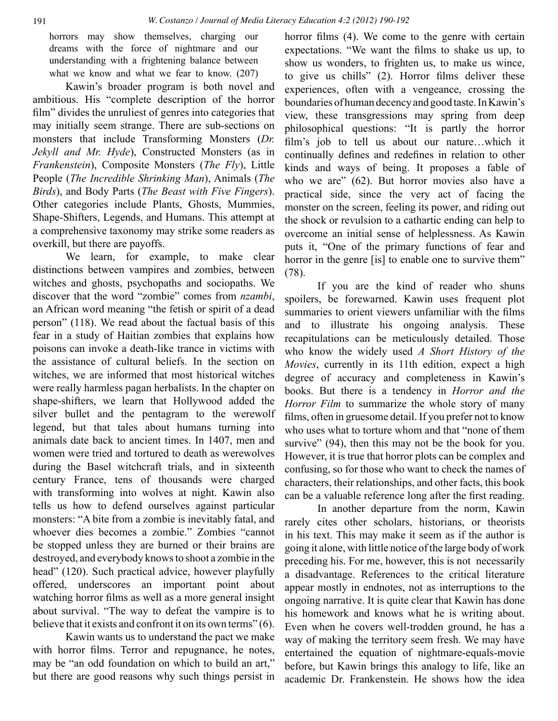horrors may show themselves, charging our dreams with the force of nightmare and our understanding with a frightening balance between what we know and what we fear to know.  $(207)$ 

Kawin's broader program is both novel and ambitious. His "complete description of the horror film" divides the unruliest of genres into categories that may initially seem strange. There are sub-sections on monsters that include Transforming Monsters (*Dr. Jekyll and Mr. Hyde*), Constructed Monsters (as in *Frankenstein*), Composite Monsters (*The Fly*), Little People (*The Incredible Shrinking Man*), Animals (*The Birds*), and Body Parts (*The Beast with Five Fingers*). Other categories include Plants, Ghosts, Mummies, Shape-Shifters, Legends, and Humans. This attempt at a comprehensive taxonomy may strike some readers as overkill, but there are payoffs.

We learn, for example, to make clear distinctions between vampires and zombies, between witches and ghosts, psychopaths and sociopaths. We discover that the word "zombie" comes from *nzambi*, an African word meaning "the fetish or spirit of a dead person" (118). We read about the factual basis of this fear in a study of Haitian zombies that explains how poisons can invoke a death-like trance in victims with the assistance of cultural beliefs. In the section on witches, we are informed that most historical witches were really harmless pagan herbalists. In the chapter on shape-shifters, we learn that Hollywood added the silver bullet and the pentagram to the werewolf legend, but that tales about humans turning into animals date back to ancient times. In 1407, men and women were tried and tortured to death as werewolves during the Basel witchcraft trials, and in sixteenth century France, tens of thousands were charged with transforming into wolves at night. Kawin also tells us how to defend ourselves against particular monsters: "A bite from a zombie is inevitably fatal, and whoever dies becomes a zombie." Zombies "cannot be stopped unless they are burned or their brains are destroyed, and everybody knows to shoot a zombie in the head" (120). Such practical advice, however playfully offered, underscores an important point about watching horror films as well as a more general insight about survival. "The way to defeat the vampire is to believe that it exists and confront it on its own terms" (6).

Kawin wants us to understand the pact we make with horror films. Terror and repugnance, he notes, may be "an odd foundation on which to build an art," but there are good reasons why such things persist in horror films (4). We come to the genre with certain expectations. "We want the films to shake us up, to show us wonders, to frighten us, to make us wince, to give us chills" (2). Horror films deliver these experiences, often with a vengeance, crossing the boundaries of human decency and good taste. In Kawin's view, these transgressions may spring from deep philosophical questions: "It is partly the horror film's job to tell us about our nature…which it continually defines and redefines in relation to other kinds and ways of being. It proposes a fable of who we are" (62). But horror movies also have a practical side, since the very act of facing the monster on the screen, feeling its power, and riding out the shock or revulsion to a cathartic ending can help to overcome an initial sense of helplessness. As Kawin puts it, "One of the primary functions of fear and horror in the genre [is] to enable one to survive them" (78).

If you are the kind of reader who shuns spoilers, be forewarned. Kawin uses frequent plot summaries to orient viewers unfamiliar with the films and to illustrate his ongoing analysis. These recapitulations can be meticulously detailed. Those who know the widely used *A Short History of the Movies*, currently in its 11th edition, expect a high degree of accuracy and completeness in Kawin's books. But there is a tendency in *Horror and the Horror Film* to summarize the whole story of many films, often in gruesome detail. If you prefer not to know who uses what to torture whom and that "none of them survive" (94), then this may not be the book for you. However, it is true that horror plots can be complex and confusing, so for those who want to check the names of characters, their relationships, and other facts, this book can be a valuable reference long after the first reading.

In another departure from the norm, Kawin rarely cites other scholars, historians, or theorists in his text. This may make it seem as if the author is going it alone, with little notice of the large body of work preceding his. For me, however, this is not necessarily a disadvantage. References to the critical literature appear mostly in endnotes, not as interruptions to the ongoing narrative. It is quite clear that Kawin has done his homework and knows what he is writing about. Even when he covers well-trodden ground, he has a way of making the territory seem fresh. We may have entertained the equation of nightmare-equals-movie before, but Kawin brings this analogy to life, like an academic Dr. Frankenstein. He shows how the idea